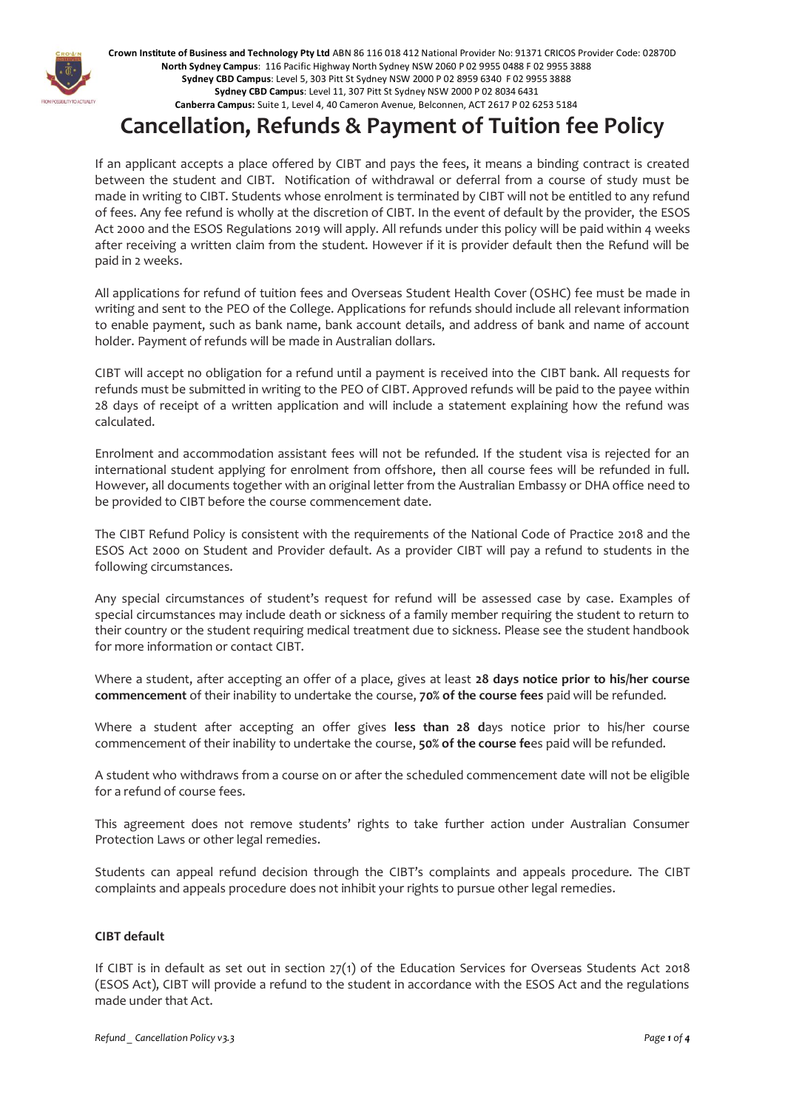

**Crown Institute of Business and Technology Pty Ltd** ABN 86 116 018 412 National Provider No: 91371 CRICOS Provider Code: 02870D **North Sydney Campus**: 116 Pacific Highway North Sydney NSW 2060 P 02 9955 0488 F 02 9955 3888 **Sydney CBD Campus**: Level 5, 303 Pitt St Sydney NSW 2000 P 02 8959 6340 F 02 9955 3888 **Sydney CBD Campus**: Level 11, 307 Pitt St Sydney NSW 2000 P 02 8034 6431 **Canberra Campus:** Suite 1, Level 4, 40 Cameron Avenue, Belconnen, ACT 2617 P 02 6253 5184

# **Cancellation, Refunds & Payment of Tuition fee Policy**

If an applicant accepts a place offered by CIBT and pays the fees, it means a binding contract is created between the student and CIBT. Notification of withdrawal or deferral from a course of study must be made in writing to CIBT. Students whose enrolment is terminated by CIBT will not be entitled to any refund of fees. Any fee refund is wholly at the discretion of CIBT. In the event of default by the provider, the ESOS Act 2000 and the ESOS Regulations 2019 will apply. All refunds under this policy will be paid within 4 weeks after receiving a written claim from the student. However if it is provider default then the Refund will be paid in 2 weeks.

All applications for refund of tuition fees and Overseas Student Health Cover (OSHC) fee must be made in writing and sent to the PEO of the College. Applications for refunds should include all relevant information to enable payment, such as bank name, bank account details, and address of bank and name of account holder. Payment of refunds will be made in Australian dollars.

CIBT will accept no obligation for a refund until a payment is received into the CIBT bank. All requests for refunds must be submitted in writing to the PEO of CIBT. Approved refunds will be paid to the payee within 28 days of receipt of a written application and will include a statement explaining how the refund was calculated.

Enrolment and accommodation assistant fees will not be refunded. If the student visa is rejected for an international student applying for enrolment from offshore, then all course fees will be refunded in full. However, all documents together with an original letter from the Australian Embassy or DHA office need to be provided to CIBT before the course commencement date.

The CIBT Refund Policy is consistent with the requirements of the National Code of Practice 2018 and the ESOS Act 2000 on Student and Provider default. As a provider CIBT will pay a refund to students in the following circumstances.

Any special circumstances of student's request for refund will be assessed case by case. Examples of special circumstances may include death or sickness of a family member requiring the student to return to their country or the student requiring medical treatment due to sickness. Please see the student handbook for more information or contact CIBT.

Where a student, after accepting an offer of a place, gives at least **28 days notice prior to his/her course commencement** of their inability to undertake the course, **70% of the course fees** paid will be refunded.

Where a student after accepting an offer gives **less than 28 d**ays notice prior to his/her course commencement of their inability to undertake the course, **50% of the course fe**es paid will be refunded.

A student who withdraws from a course on or after the scheduled commencement date will not be eligible for a refund of course fees.

This agreement does not remove students' rights to take further action under Australian Consumer Protection Laws or other legal remedies.

Students can appeal refund decision through the CIBT's complaints and appeals procedure. The CIBT complaints and appeals procedure does not inhibit your rights to pursue other legal remedies.

## **CIBT default**

If CIBT is in default as set out in section 27(1) of the Education Services for Overseas Students Act 2018 (ESOS Act), CIBT will provide a refund to the student in accordance with the ESOS Act and the regulations made under that Act.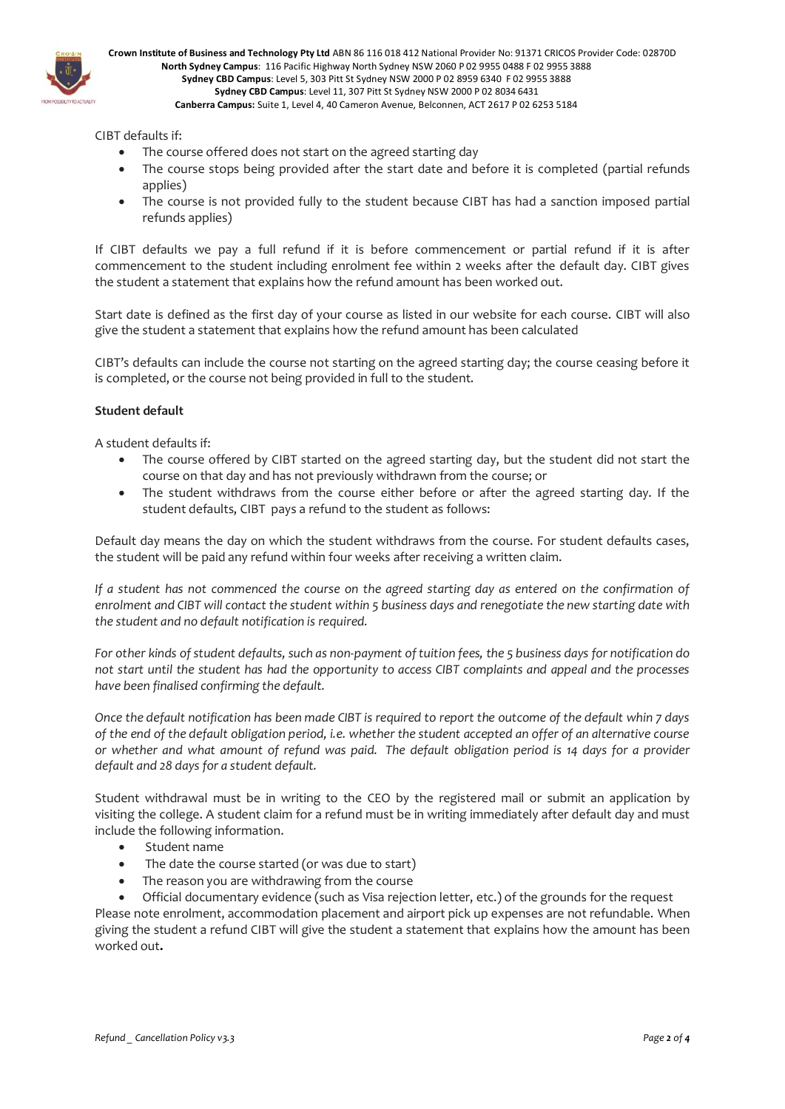

CIBT defaults if:

- The course offered does not start on the agreed starting day
- The course stops being provided after the start date and before it is completed (partial refunds applies)
- The course is not provided fully to the student because CIBT has had a sanction imposed partial refunds applies)

If CIBT defaults we pay a full refund if it is before commencement or partial refund if it is after commencement to the student including enrolment fee within 2 weeks after the default day. CIBT gives the student a statement that explains how the refund amount has been worked out.

Start date is defined as the first day of your course as listed in our website for each course. CIBT will also give the student a statement that explains how the refund amount has been calculated

CIBT's defaults can include the course not starting on the agreed starting day; the course ceasing before it is completed, or the course not being provided in full to the student.

## **Student default**

A student defaults if:

- The course offered by CIBT started on the agreed starting day, but the student did not start the course on that day and has not previously withdrawn from the course; or
- The student withdraws from the course either before or after the agreed starting day. If the student defaults, CIBT pays a refund to the student as follows:

Default day means the day on which the student withdraws from the course. For student defaults cases, the student will be paid any refund within four weeks after receiving a written claim.

*If a student has not commenced the course on the agreed starting day as entered on the confirmation of enrolment and CIBT will contact the student within 5 business days and renegotiate the new starting date with the student and no default notification is required.*

*For other kinds of student defaults, such as non-payment of tuition fees, the 5 business days for notification do not start until the student has had the opportunity to access CIBT complaints and appeal and the processes have been finalised confirming the default.*

*Once the default notification has been made CIBT is required to report the outcome of the default whin 7 days of the end of the default obligation period, i.e. whether the student accepted an offer of an alternative course or whether and what amount of refund was paid. The default obligation period is 14 days for a provider default and 28 days for a student default.* 

Student withdrawal must be in writing to the CEO by the registered mail or submit an application by visiting the college. A student claim for a refund must be in writing immediately after default day and must include the following information.

- Student name
- The date the course started (or was due to start)
- The reason you are withdrawing from the course

• Official documentary evidence (such as Visa rejection letter, etc.) of the grounds for the request Please note enrolment, accommodation placement and airport pick up expenses are not refundable. When giving the student a refund CIBT will give the student a statement that explains how the amount has been worked out**.**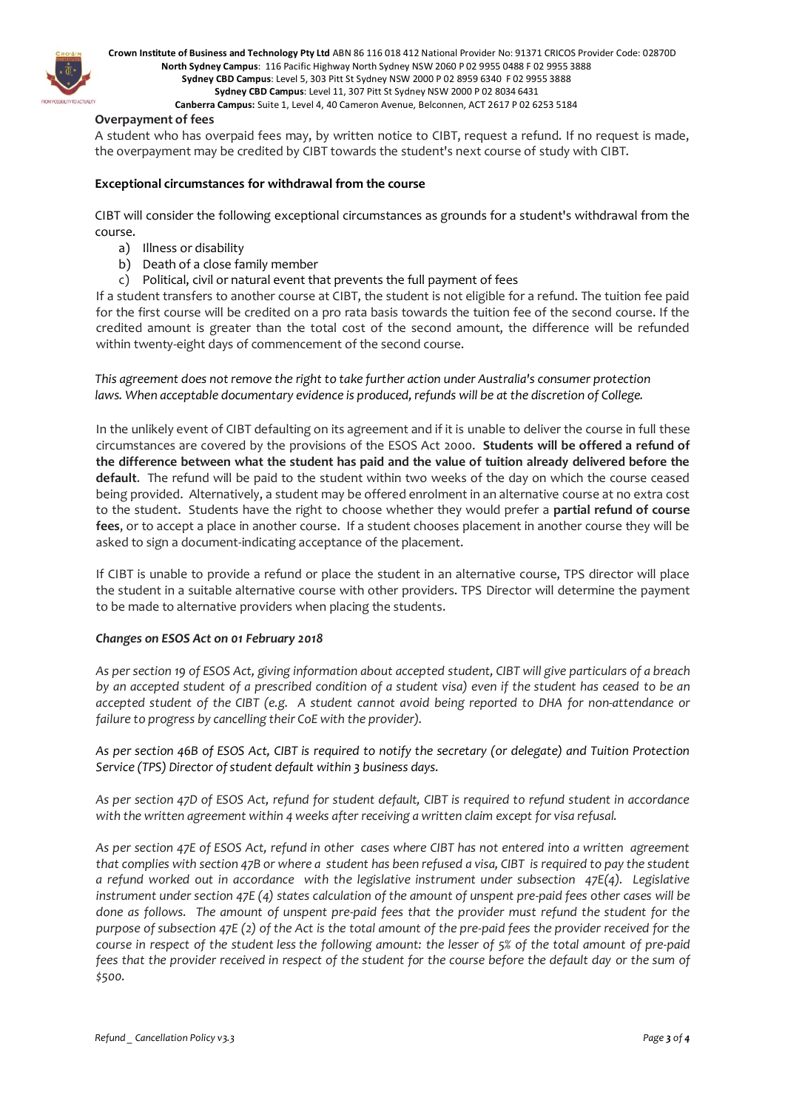

**Crown Institute of Business and Technology Pty Ltd** ABN 86 116 018 412 National Provider No: 91371 CRICOS Provider Code: 02870D **North Sydney Campus**: 116 Pacific Highway North Sydney NSW 2060 P 02 9955 0488 F 02 9955 3888 **Sydney CBD Campus**: Level 5, 303 Pitt St Sydney NSW 2000 P 02 8959 6340 F 02 9955 3888 **Sydney CBD Campus**: Level 11, 307 Pitt St Sydney NSW 2000 P 02 8034 6431

**Canberra Campus:** Suite 1, Level 4, 40 Cameron Avenue, Belconnen, ACT 2617 P 02 6253 5184

#### **Overpayment of fees**

A student who has overpaid fees may, by written notice to CIBT, request a refund. If no request is made, the overpayment may be credited by CIBT towards the student's next course of study with CIBT.

#### **Exceptional circumstances for withdrawal from the course**

CIBT will consider the following exceptional circumstances as grounds for a student's withdrawal from the course.

- a) Illness or disability
- b) Death of a close family member
- c) Political, civil or natural event that prevents the full payment of fees

If a student transfers to another course at CIBT, the student is not eligible for a refund. The tuition fee paid for the first course will be credited on a pro rata basis towards the tuition fee of the second course. If the credited amount is greater than the total cost of the second amount, the difference will be refunded within twenty-eight days of commencement of the second course.

*This agreement does not remove the right to take further action under Australia's consumer protection laws. When acceptable documentary evidence is produced, refunds will be at the discretion of College.*

In the unlikely event of CIBT defaulting on its agreement and if it is unable to deliver the course in full these circumstances are covered by the provisions of the ESOS Act 2000. **Students will be offered a refund of the difference between what the student has paid and the value of tuition already delivered before the default**. The refund will be paid to the student within two weeks of the day on which the course ceased being provided. Alternatively, a student may be offered enrolment in an alternative course at no extra cost to the student. Students have the right to choose whether they would prefer a **partial refund of course fees**, or to accept a place in another course. If a student chooses placement in another course they will be asked to sign a document-indicating acceptance of the placement.

If CIBT is unable to provide a refund or place the student in an alternative course, TPS director will place the student in a suitable alternative course with other providers. TPS Director will determine the payment to be made to alternative providers when placing the students.

#### *Changes on ESOS Act on 01 February 2018*

*As per section 19 of ESOS Act, giving information about accepted student, CIBT will give particulars of a breach by an accepted student of a prescribed condition of a student visa) even if the student has ceased to be an accepted student of the CIBT (e.g. A student cannot avoid being reported to DHA for non-attendance or failure to progress by cancelling their CoE with the provider).*

*As per section 46B of ESOS Act, CIBT is required to notify the secretary (or delegate) and Tuition Protection Service (TPS) Director of student default within 3 business days.*

*As per section 47D of ESOS Act, refund for student default, CIBT is required to refund student in accordance with the written agreement within 4 weeks after receiving a written claim except for visa refusal.*

*As per section 47E of ESOS Act, refund in other cases where CIBT has not entered into a written agreement that complies with section 47B or where a student has been refused a visa, CIBT is required to pay the student a refund worked out in accordance with the legislative instrument under subsection 47E(4). Legislative instrument under section 47E (4) states calculation of the amount of unspent pre-paid fees other cases will be done as follows. The amount of unspent pre-paid fees that the provider must refund the student for the purpose of subsection 47E (2) of the Act is the total amount of the pre-paid fees the provider received for the course in respect of the student less the following amount: the lesser of 5% of the total amount of pre-paid fees that the provider received in respect of the student for the course before the default day or the sum of \$500.*